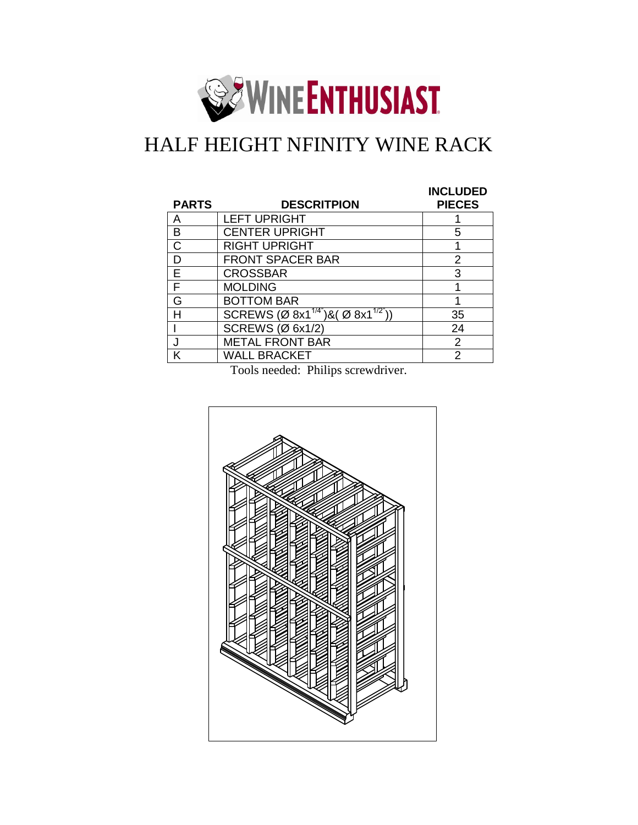

## HALF HEIGHT NFINITY WINE RACK

| <b>PARTS</b> | <b>DESCRITPION</b>                          | <b>INCLUDED</b><br><b>PIECES</b> |
|--------------|---------------------------------------------|----------------------------------|
| А            | <b>LEFT UPRIGHT</b>                         |                                  |
| в            | <b>CENTER UPRIGHT</b>                       | 5                                |
|              | <b>RIGHT UPRIGHT</b>                        |                                  |
| D            | <b>FRONT SPACER BAR</b>                     | 2                                |
| F            | <b>CROSSBAR</b>                             | 3                                |
| F            | <b>MOLDING</b>                              |                                  |
| G            | <b>BOTTOM BAR</b>                           |                                  |
| н            | SCREWS (Ø 8x $1^{1/4}$ )& (Ø 8x $1^{1/2}$ ) | 35                               |
|              | <b>SCREWS (Ø 6x1/2)</b>                     | 24                               |
|              | <b>METAL FRONT BAR</b>                      | 2                                |
| ĸ            | <b>WALL BRACKET</b>                         | 2                                |

Tools needed: Philips screwdriver.

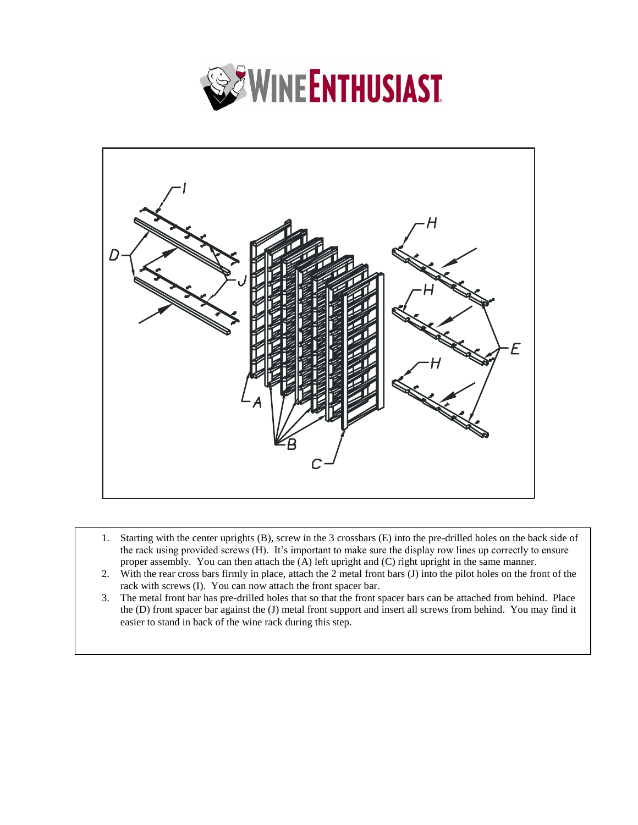



- 1. Starting with the center uprights (B), screw in the 3 crossbars (E) into the pre-drilled holes on the back side of the rack using provided screws (H). It's important to make sure the display row lines up correctly to ensure proper assembly. You can then attach the (A) left upright and (C) right upright in the same manner.
- 2. With the rear cross bars firmly in place, attach the 2 metal front bars (J) into the pilot holes on the front of the rack with screws (I). You can now attach the front spacer bar.
- 3. The metal front bar has pre-drilled holes that so that the front spacer bars can be attached from behind. Place the (D) front spacer bar against the (J) metal front support and insert all screws from behind. You may find it easier to stand in back of the wine rack during this step.